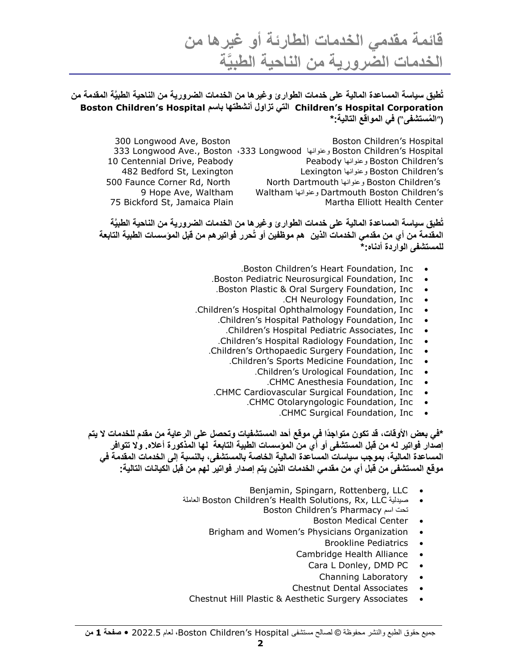**قائمة مقدمي الخدمات الطارئة أو غيرها من َّة الخدمات الضرورية من الناحية الطبي**

**تُطبق سياسة المساعدة المالية على خدمات الطوارئ وغيرها من الخدمات الضرورية من الناحية الطبيَّة المقدمة من Boston Children's Hospital باسم أنشطتها تزاول التي Children's Hospital Corporation )**"**ال ُمستشفى**"**( في المواقع التالية:\***

300 Longwood Ave, Boston **Boston Boston Children's Hospital**  Longwood Ave., Boston ،333 Longwood وعنوانها Boston Children's Hospital Centennial Drive, Peabody Peabody وعنوانها Boston Children's Bedford St, Lexington Lexington وعنوانها Boston Children's Faunce Corner Rd, North North Dartmouth وعنوانها Boston Children's Hope Ave, Waltham Waltham وعنوانها Dartmouth Boston Children's 75 Bickford St, Jamaica Plain Martha Elliott Health Center

**تُطبق سياسة المساعدة المالية على خدمات الطوارئ وغيرها من الخدمات الضرورية من الناحية الطبيَّة المقدمة من أي من مقدمي الخدمات الذين هم موظفين أو تُحرر فواتيرهم من قبل المؤسسات الطبية التابعة للمستشفى الواردة أدناه:\***

- .Boston Children's Heart Foundation, Inc
- .Boston Pediatric Neurosurgical Foundation, Inc
- .Boston Plastic & Oral Surgery Foundation, Inc
	- .CH Neurology Foundation, Inc
- .Children's Hospital Ophthalmology Foundation, Inc
	- .Children's Hospital Pathology Foundation, Inc
		- .Children's Hospital Pediatric Associates, Inc
	-
	- .Children's Hospital Radiology Foundation, Inc<br>hildren's Orthopaedic Surgery Foundation, Inc .Children's Orthopaedic Surgery Foundation, Inc
		- .Children's Sports Medicine Foundation, Inc
			- .Children's Urological Foundation, Inc
				- .CHMC Anesthesia Foundation, Inc
	- .CHMC Cardiovascular Surgical Foundation, Inc
		- .CHMC Otolaryngologic Foundation, Inc
			- .CHMC Surgical Foundation, Inc

\*في بعض الأوقات، قد تكون متواجدًا في موقع أحد المستشفيات وتحصل على الرعاية من مقدم للخدمات لا يتم **إصدار فواتير له من قبل المستشفى أو أي من المؤسسات الطبية التابعة لها المذكورة أعاله. وال تتوافر المساعدة المالية، بموجب سياسات المساعدة المالية الخاصة بالمستشفى، بالنسبة إلى الخدمات المقدمة في موقع المستشفى من قبل أي من مقدمي الخدمات الذين يتم إصدار فواتير لهم من قبل الكيانات التالية:**

- Benjamin, Spingarn, Rottenberg, LLC
- العاملة Boston Children's Health Solutions, Rx, LLC صيدلية Boston Children's Pharmacy اسم تحت
	- Boston Medical Center
	- Brigham and Women's Physicians Organization .
		- Brookline Pediatrics •
		- Cambridge Health Alliance
			- Cara L Donley, DMD PC
				- Channing Laboratory .
		- Chestnut Dental Associates
- Chestnut Hill Plastic & Aesthetic Surgery Associates